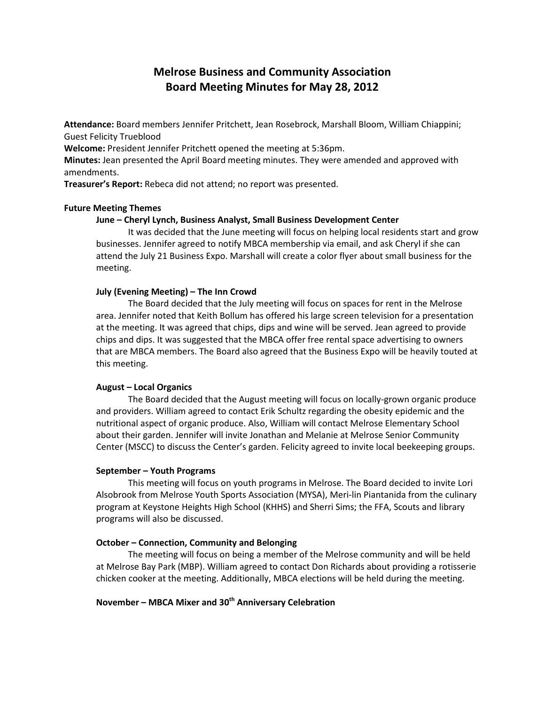# **Melrose Business and Community Association Board Meeting Minutes for May 28, 2012**

**Attendance:** Board members Jennifer Pritchett, Jean Rosebrock, Marshall Bloom, William Chiappini; Guest Felicity Trueblood

**Welcome:** President Jennifer Pritchett opened the meeting at 5:36pm.

**Minutes:** Jean presented the April Board meeting minutes. They were amended and approved with amendments.

**Treasurer's Report:** Rebeca did not attend; no report was presented.

# **Future Meeting Themes**

# **June – Cheryl Lynch, Business Analyst, Small Business Development Center**

It was decided that the June meeting will focus on helping local residents start and grow businesses. Jennifer agreed to notify MBCA membership via email, and ask Cheryl if she can attend the July 21 Business Expo. Marshall will create a color flyer about small business for the meeting.

# **July (Evening Meeting) – The Inn Crowd**

The Board decided that the July meeting will focus on spaces for rent in the Melrose area. Jennifer noted that Keith Bollum has offered his large screen television for a presentation at the meeting. It was agreed that chips, dips and wine will be served. Jean agreed to provide chips and dips. It was suggested that the MBCA offer free rental space advertising to owners that are MBCA members. The Board also agreed that the Business Expo will be heavily touted at this meeting.

# **August – Local Organics**

The Board decided that the August meeting will focus on locally-grown organic produce and providers. William agreed to contact Erik Schultz regarding the obesity epidemic and the nutritional aspect of organic produce. Also, William will contact Melrose Elementary School about their garden. Jennifer will invite Jonathan and Melanie at Melrose Senior Community Center (MSCC) to discuss the Center's garden. Felicity agreed to invite local beekeeping groups.

## **September – Youth Programs**

This meeting will focus on youth programs in Melrose. The Board decided to invite Lori Alsobrook from Melrose Youth Sports Association (MYSA), Meri-lin Piantanida from the culinary program at Keystone Heights High School (KHHS) and Sherri Sims; the FFA, Scouts and library programs will also be discussed.

## **October – Connection, Community and Belonging**

The meeting will focus on being a member of the Melrose community and will be held at Melrose Bay Park (MBP). William agreed to contact Don Richards about providing a rotisserie chicken cooker at the meeting. Additionally, MBCA elections will be held during the meeting.

# **November – MBCA Mixer and 30th Anniversary Celebration**